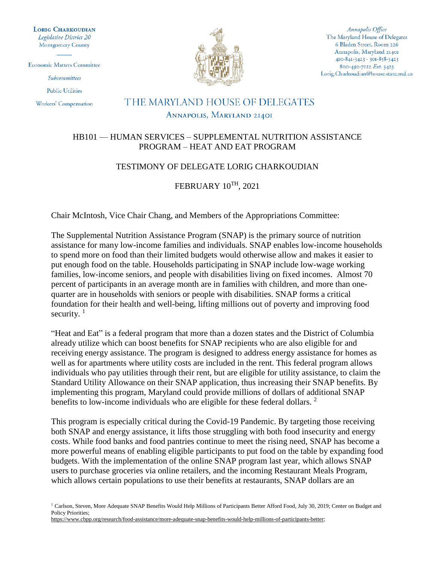**LORIG CHARKOUDIAN** Legislative District 20 **Montgomery County** 

**Economic Matters Committee** 

Subcommittees

**Public Utilities** 

Workers' Compensation



Annapolis Office The Maryland House of Delegates 6 Bladen Street, Room 226 Annapolis, Maryland 21401 410-841-3423 · 301-858-3423 800-492-7122 Ext. 3423 Lorig.Charkoudian@house.state.md.us

## THE MARYLAND HOUSE OF DELEGATES ANNAPOLIS, MARYLAND 21401

## HB101 — HUMAN SERVICES – SUPPLEMENTAL NUTRITION ASSISTANCE PROGRAM – HEAT AND EAT PROGRAM

## TESTIMONY OF DELEGATE LORIG CHARKOUDIAN

FEBRUARY 10TH, 2021

Chair McIntosh, Vice Chair Chang, and Members of the Appropriations Committee:

The Supplemental Nutrition Assistance Program (SNAP) is the primary source of nutrition assistance for many low-income families and individuals. SNAP enables low-income households to spend more on food than their limited budgets would otherwise allow and makes it easier to put enough food on the table. Households participating in SNAP include low-wage working families, low-income seniors, and people with disabilities living on fixed incomes. Almost 70 percent of participants in an average month are in families with children, and more than onequarter are in households with seniors or people with disabilities. SNAP forms a critical foundation for their health and well-being, lifting millions out of poverty and improving food security.  $1$ 

"Heat and Eat" is a federal program that more than a dozen states and the District of Columbia already utilize which can boost benefits for SNAP recipients who are also eligible for and receiving energy assistance. The program is designed to address energy assistance for homes as well as for apartments where utility costs are included in the rent. This federal program allows individuals who pay utilities through their rent, but are eligible for utility assistance, to claim the Standard Utility Allowance on their SNAP application, thus increasing their SNAP benefits. By implementing this program, Maryland could provide millions of dollars of additional SNAP benefits to low-income individuals who are eligible for these federal dollars.<sup>2</sup>

This program is especially critical during the Covid-19 Pandemic. By targeting those receiving both SNAP and energy assistance, it lifts those struggling with both food insecurity and energy costs. While food banks and food pantries continue to meet the rising need, SNAP has become a more powerful means of enabling eligible participants to put food on the table by expanding food budgets. With the implementation of the online SNAP program last year, which allows SNAP users to purchase groceries via online retailers, and the incoming Restaurant Meals Program, which allows certain populations to use their benefits at restaurants, SNAP dollars are an

<sup>&</sup>lt;sup>1</sup> Carlson, Steven, More Adequate SNAP Benefits Would Help Millions of Participants Better Afford Food, July 30, 2019; Center on Budget and Policy Priorities;

[https://www.cbpp.org/research/food-assistance/more-adequate-snap-benefits-would-help-millions-of-participants-better;](https://www.cbpp.org/research/food-assistance/more-adequate-snap-benefits-would-help-millions-of-participants-better)